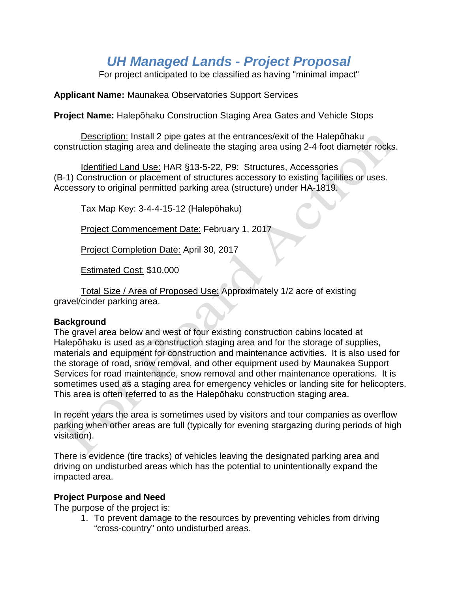# *UH Managed Lands - Project Proposal*

For project anticipated to be classified as having "minimal impact"

**Applicant Name:** Maunakea Observatories Support Services

**Project Name:** Halepōhaku Construction Staging Area Gates and Vehicle Stops

Description: Install 2 pipe gates at the entrances/exit of the Halepōhaku construction staging area and delineate the staging area using 2-4 foot diameter rocks.

Identified Land Use: HAR §13-5-22, P9: Structures, Accessories (B-1) Construction or placement of structures accessory to existing facilities or uses. Accessory to original permitted parking area (structure) under HA-1819.

Tax Map Key: 3-4-4-15-12 (Halepōhaku)

Project Commencement Date: February 1, 2017

Project Completion Date: April 30, 2017

Estimated Cost: \$10,000

Total Size / Area of Proposed Use: Approximately 1/2 acre of existing gravel/cinder parking area.

#### **Background**

The gravel area below and west of four existing construction cabins located at Halepōhaku is used as a construction staging area and for the storage of supplies, materials and equipment for construction and maintenance activities. It is also used for the storage of road, snow removal, and other equipment used by Maunakea Support Services for road maintenance, snow removal and other maintenance operations. It is sometimes used as a staging area for emergency vehicles or landing site for helicopters. This area is often referred to as the Halepōhaku construction staging area.

In recent years the area is sometimes used by visitors and tour companies as overflow parking when other areas are full (typically for evening stargazing during periods of high visitation).

There is evidence (tire tracks) of vehicles leaving the designated parking area and driving on undisturbed areas which has the potential to unintentionally expand the impacted area.

# **Project Purpose and Need**

The purpose of the project is:

1. To prevent damage to the resources by preventing vehicles from driving "cross-country" onto undisturbed areas.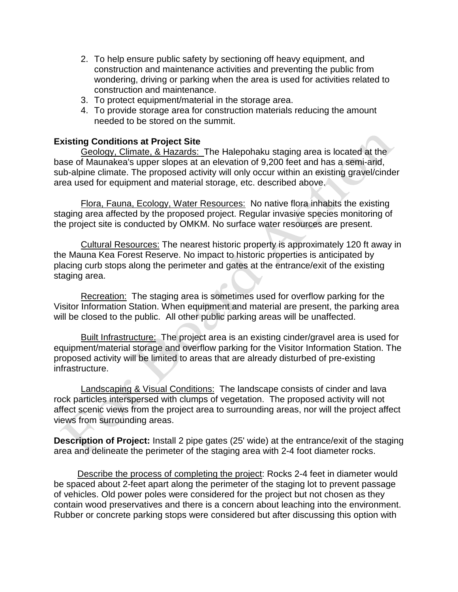- 2. To help ensure public safety by sectioning off heavy equipment, and construction and maintenance activities and preventing the public from wondering, driving or parking when the area is used for activities related to construction and maintenance.
- 3. To protect equipment/material in the storage area.
- 4. To provide storage area for construction materials reducing the amount needed to be stored on the summit.

#### **Existing Conditions at Project Site**

Geology, Climate, & Hazards: The Halepohaku staging area is located at the base of Maunakea's upper slopes at an elevation of 9,200 feet and has a semi-arid, sub-alpine climate. The proposed activity will only occur within an existing gravel/cinder area used for equipment and material storage, etc. described above.

Flora, Fauna, Ecology, Water Resources: No native flora inhabits the existing staging area affected by the proposed project. Regular invasive species monitoring of the project site is conducted by OMKM. No surface water resources are present.

Cultural Resources: The nearest historic property is approximately 120 ft away in the Mauna Kea Forest Reserve. No impact to historic properties is anticipated by placing curb stops along the perimeter and gates at the entrance/exit of the existing staging area.

Recreation: The staging area is sometimes used for overflow parking for the Visitor Information Station. When equipment and material are present, the parking area will be closed to the public. All other public parking areas will be unaffected.

Built Infrastructure: The project area is an existing cinder/gravel area is used for equipment/material storage and overflow parking for the Visitor Information Station. The proposed activity will be limited to areas that are already disturbed of pre-existing infrastructure.

Landscaping & Visual Conditions: The landscape consists of cinder and lava rock particles interspersed with clumps of vegetation. The proposed activity will not affect scenic views from the project area to surrounding areas, nor will the project affect views from surrounding areas.

**Description of Project:** Install 2 pipe gates (25' wide) at the entrance/exit of the staging area and delineate the perimeter of the staging area with 2-4 foot diameter rocks.

Describe the process of completing the project: Rocks 2-4 feet in diameter would be spaced about 2-feet apart along the perimeter of the staging lot to prevent passage of vehicles. Old power poles were considered for the project but not chosen as they contain wood preservatives and there is a concern about leaching into the environment. Rubber or concrete parking stops were considered but after discussing this option with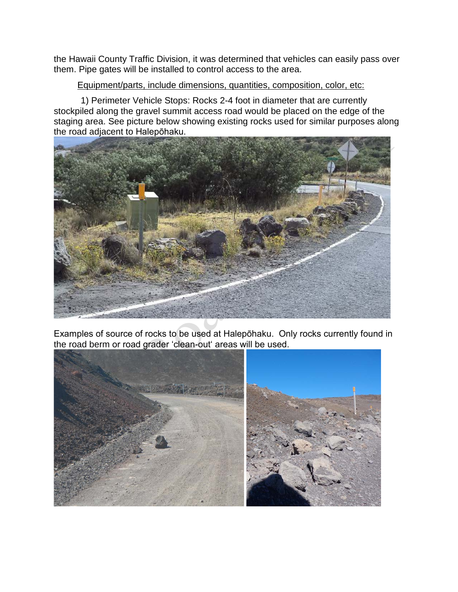the Hawaii County Traffic Division, it was determined that vehicles can easily pass over them. Pipe gates will be installed to control access to the area.

#### Equipment/parts, include dimensions, quantities, composition, color, etc:

1) Perimeter Vehicle Stops: Rocks 2-4 foot in diameter that are currently stockpiled along the gravel summit access road would be placed on the edge of the staging area. See picture below showing existing rocks used for similar purposes along the road adjacent to Halepōhaku.



Examples of source of rocks to be used at Halepōhaku. Only rocks currently found in the road berm or road grader ʻclean-outʻ areas will be used.

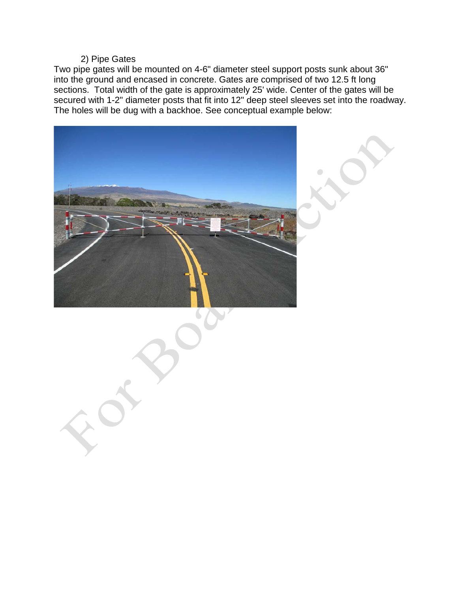## 2) Pipe Gates

Two pipe gates will be mounted on 4-6" diameter steel support posts sunk about 36" into the ground and encased in concrete. Gates are comprised of two 12.5 ft long sections. Total width of the gate is approximately 25' wide. Center of the gates will be secured with 1-2" diameter posts that fit into 12" deep steel sleeves set into the roadway. The holes will be dug with a backhoe. See conceptual example below:

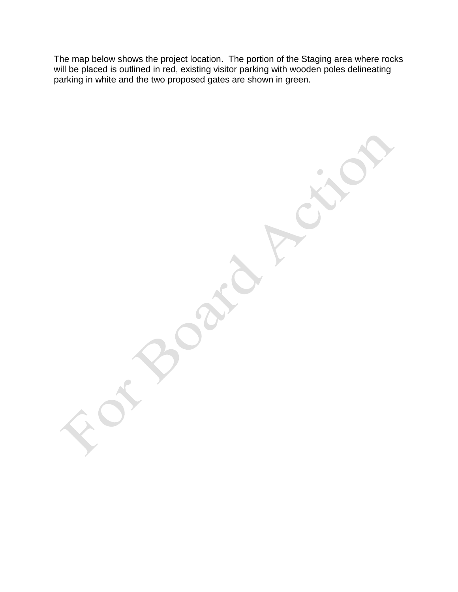The map below shows the project location. The portion of the Staging area where rocks will be placed is outlined in red, existing visitor parking with wooden poles delineating parking in white and the two proposed gates are shown in green.

 $\overline{\phantom{0}}$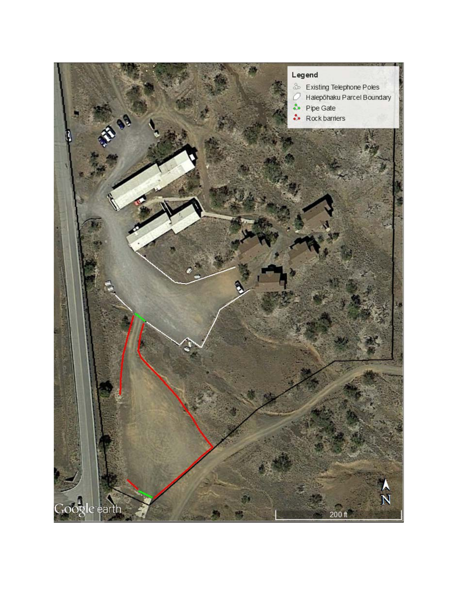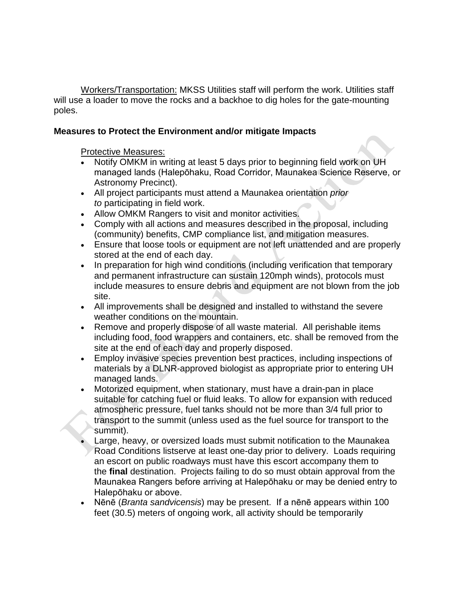Workers/Transportation: MKSS Utilities staff will perform the work. Utilities staff will use a loader to move the rocks and a backhoe to dig holes for the gate-mounting poles.

### **Measures to Protect the Environment and/or mitigate Impacts**

Protective Measures:

- Notify OMKM in writing at least 5 days prior to beginning field work on UH managed lands (Halepōhaku, Road Corridor, Maunakea Science Reserve, or Astronomy Precinct).
- All project participants must attend a Maunakea orientation *prior to* participating in field work.
- Allow OMKM Rangers to visit and monitor activities.
- Comply with all actions and measures described in the proposal, including (community) benefits, CMP compliance list, and mitigation measures.
- Ensure that loose tools or equipment are not left unattended and are properly stored at the end of each day.
- In preparation for high wind conditions (including verification that temporary and permanent infrastructure can sustain 120mph winds), protocols must include measures to ensure debris and equipment are not blown from the job site.
- All improvements shall be designed and installed to withstand the severe weather conditions on the mountain.
- Remove and properly dispose of all waste material. All perishable items including food, food wrappers and containers, etc. shall be removed from the site at the end of each day and properly disposed.
- Employ invasive species prevention best practices, including inspections of materials by a DLNR-approved biologist as appropriate prior to entering UH managed lands.
- Motorized equipment, when stationary, must have a drain-pan in place suitable for catching fuel or fluid leaks. To allow for expansion with reduced atmospheric pressure, fuel tanks should not be more than 3/4 full prior to transport to the summit (unless used as the fuel source for transport to the summit).
- Large, heavy, or oversized loads must submit notification to the Maunakea Road Conditions listserve at least one-day prior to delivery. Loads requiring an escort on public roadways must have this escort accompany them to the **final** destination. Projects failing to do so must obtain approval from the Maunakea Rangers before arriving at Halepōhaku or may be denied entry to Halepōhaku or above.
- Nēnē (*Branta sandvicensis*) may be present. If a nēnē appears within 100 feet (30.5) meters of ongoing work, all activity should be temporarily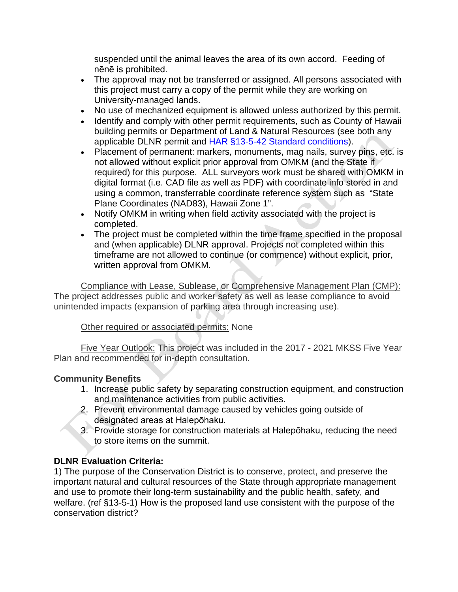suspended until the animal leaves the area of its own accord. Feeding of nēnē is prohibited.

- The approval may not be transferred or assigned. All persons associated with this project must carry a copy of the permit while they are working on University-managed lands.
- No use of mechanized equipment is allowed unless authorized by this permit.
- Identify and comply with other permit requirements, such as County of Hawaii building permits or Department of Land & Natural Resources (see both any applicable DLNR permit and HAR [§13-5-42 Standard conditions\)](http://dlnr.hawaii.gov/occl/files/2013/08/13-5-2013.pdf#page=47).
- Placement of permanent: markers, monuments, mag nails, survey pins, etc. is not allowed without explicit prior approval from OMKM (and the State if required) for this purpose. ALL surveyors work must be shared with OMKM in digital format (i.e. CAD file as well as PDF) with coordinate info stored in and using a common, transferrable coordinate reference system such as "State Plane Coordinates (NAD83), Hawaii Zone 1".
- Notify OMKM in writing when field activity associated with the project is completed.
- The project must be completed within the time frame specified in the proposal and (when applicable) DLNR approval. Projects not completed within this timeframe are not allowed to continue (or commence) without explicit, prior, written approval from OMKM.

Compliance with Lease, Sublease, or Comprehensive Management Plan (CMP): The project addresses public and worker safety as well as lease compliance to avoid unintended impacts (expansion of parking area through increasing use).

# Other required or associated permits: None

Five Year Outlook: This project was included in the 2017 - 2021 MKSS Five Year Plan and recommended for in-depth consultation.

# **Community Benefits**

- 1. Increase public safety by separating construction equipment, and construction and maintenance activities from public activities.
- 2. Prevent environmental damage caused by vehicles going outside of designated areas at Halepōhaku.
- 3. Provide storage for construction materials at Halepōhaku, reducing the need to store items on the summit.

# **DLNR Evaluation Criteria:**

1) The purpose of the Conservation District is to conserve, protect, and preserve the important natural and cultural resources of the State through appropriate management and use to promote their long-term sustainability and the public health, safety, and welfare. (ref §13-5-1) How is the proposed land use consistent with the purpose of the conservation district?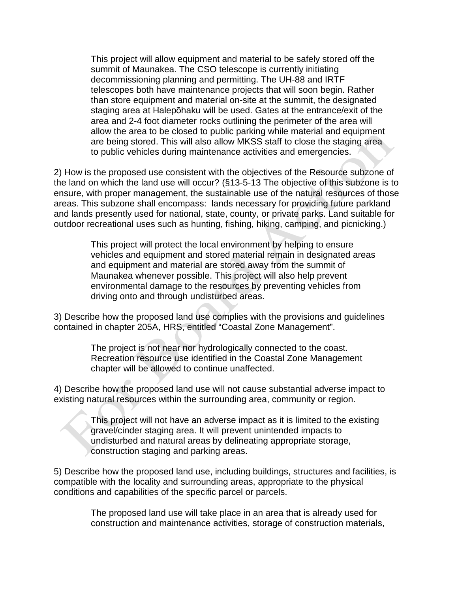This project will allow equipment and material to be safely stored off the summit of Maunakea. The CSO telescope is currently initiating decommissioning planning and permitting. The UH-88 and IRTF telescopes both have maintenance projects that will soon begin. Rather than store equipment and material on-site at the summit, the designated staging area at Halepōhaku will be used. Gates at the entrance/exit of the area and 2-4 foot diameter rocks outlining the perimeter of the area will allow the area to be closed to public parking while material and equipment are being stored. This will also allow MKSS staff to close the staging area to public vehicles during maintenance activities and emergencies.

2) How is the proposed use consistent with the objectives of the Resource subzone of the land on which the land use will occur? (§13-5-13 The objective of this subzone is to ensure, with proper management, the sustainable use of the natural resources of those areas. This subzone shall encompass: lands necessary for providing future parkland and lands presently used for national, state, county, or private parks. Land suitable for outdoor recreational uses such as hunting, fishing, hiking, camping, and picnicking.)

> This project will protect the local environment by helping to ensure vehicles and equipment and stored material remain in designated areas and equipment and material are stored away from the summit of Maunakea whenever possible. This project will also help prevent environmental damage to the resources by preventing vehicles from driving onto and through undisturbed areas.

3) Describe how the proposed land use complies with the provisions and guidelines contained in chapter 205A, HRS, entitled "Coastal Zone Management".

> The project is not near nor hydrologically connected to the coast. Recreation resource use identified in the Coastal Zone Management chapter will be allowed to continue unaffected.

4) Describe how the proposed land use will not cause substantial adverse impact to existing natural resources within the surrounding area, community or region.

> This project will not have an adverse impact as it is limited to the existing gravel/cinder staging area. It will prevent unintended impacts to undisturbed and natural areas by delineating appropriate storage, construction staging and parking areas.

5) Describe how the proposed land use, including buildings, structures and facilities, is compatible with the locality and surrounding areas, appropriate to the physical conditions and capabilities of the specific parcel or parcels.

> The proposed land use will take place in an area that is already used for construction and maintenance activities, storage of construction materials,